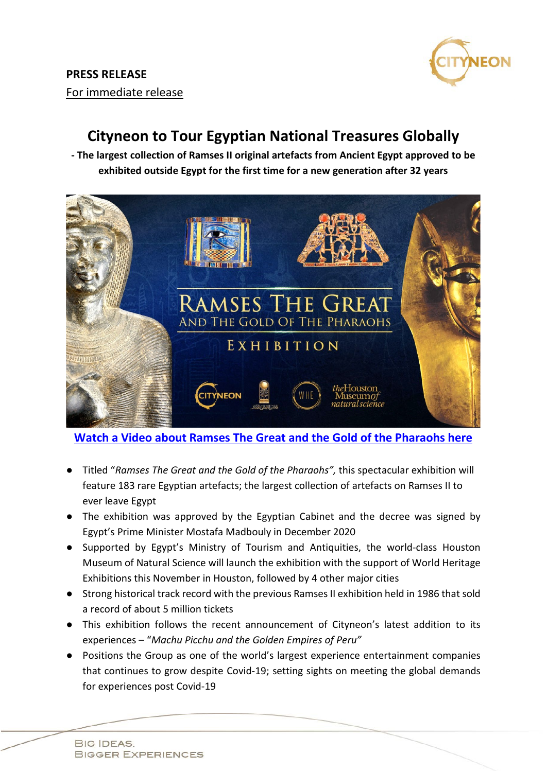

## **Cityneon to Tour Egyptian National Treasures Globally**

**- The largest collection of Ramses II original artefacts from Ancient Egypt approved to be exhibited outside Egypt for the first time for a new generation after 32 years**



**Watch a Video about [Ramses The Great and the Gold of the Pharaohs](https://youtu.be/KmfB8WV7WNo) here**

- Titled "*Ramses The Great and the Gold of the Pharaohs",* this spectacular exhibition will feature 183 rare Egyptian artefacts; the largest collection of artefacts on Ramses II to ever leave Egypt
- The exhibition was approved by the Egyptian Cabinet and the decree was signed by Egypt's Prime Minister Mostafa Madbouly in December 2020
- Supported by Egypt's Ministry of Tourism and Antiquities, the world-class Houston Museum of Natural Science will launch the exhibition with the support of World Heritage Exhibitions this November in Houston, followed by 4 other major cities
- Strong historical track record with the previous Ramses II exhibition held in 1986 that sold a record of about 5 million tickets
- This exhibition follows the recent announcement of Cityneon's latest addition to its experiences – "*Machu Picchu and the Golden Empires of Peru"*
- Positions the Group as one of the world's largest experience entertainment companies that continues to grow despite Covid-19; setting sights on meeting the global demands for experiences post Covid-19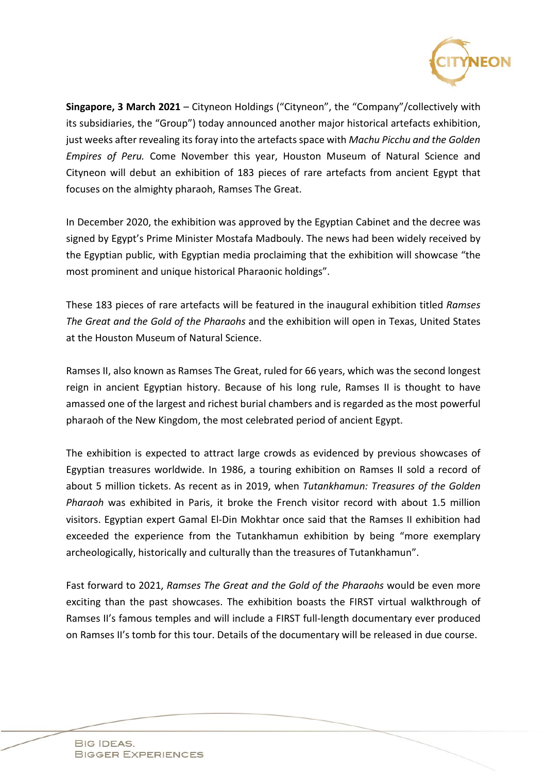

**Singapore, 3 March 2021** – Cityneon Holdings ("Cityneon", the "Company"/collectively with its subsidiaries, the "Group") today announced another major historical artefacts exhibition, just weeks after revealing its foray into the artefacts space with *Machu Picchu and the Golden Empires of Peru.* Come November this year, Houston Museum of Natural Science and Cityneon will debut an exhibition of 183 pieces of rare artefacts from ancient Egypt that focuses on the almighty pharaoh, Ramses The Great.

In December 2020, the exhibition was approved by the Egyptian Cabinet and the decree was signed by Egypt's Prime Minister Mostafa Madbouly. The news had been widely received by the Egyptian public, with Egyptian media proclaiming that the exhibition will showcase "the most prominent and unique historical Pharaonic holdings".

These 183 pieces of rare artefacts will be featured in the inaugural exhibition titled *Ramses The Great and the Gold of the Pharaohs* and the exhibition will open in Texas, United States at the Houston Museum of Natural Science.

Ramses II, also known as Ramses The Great, ruled for 66 years, which was the second longest reign in ancient Egyptian history. Because of his long rule, Ramses II is thought to have amassed one of the largest and richest burial chambers and is regarded as the most powerful pharaoh of the New Kingdom, the most celebrated period of ancient Egypt.

The exhibition is expected to attract large crowds as evidenced by previous showcases of Egyptian treasures worldwide. In 1986, a touring exhibition on Ramses II sold a record of about 5 million tickets. As recent as in 2019, when *Tutankhamun: Treasures of the Golden Pharaoh* was exhibited in Paris, it broke the French visitor record with about 1.5 million visitors. Egyptian expert Gamal El-Din Mokhtar once said that the Ramses II exhibition had exceeded the experience from the Tutankhamun exhibition by being "more exemplary archeologically, historically and culturally than the treasures of Tutankhamun".

Fast forward to 2021, *Ramses The Great and the Gold of the Pharaohs* would be even more exciting than the past showcases. The exhibition boasts the FIRST virtual walkthrough of Ramses II's famous temples and will include a FIRST full-length documentary ever produced on Ramses II's tomb for this tour. Details of the documentary will be released in due course.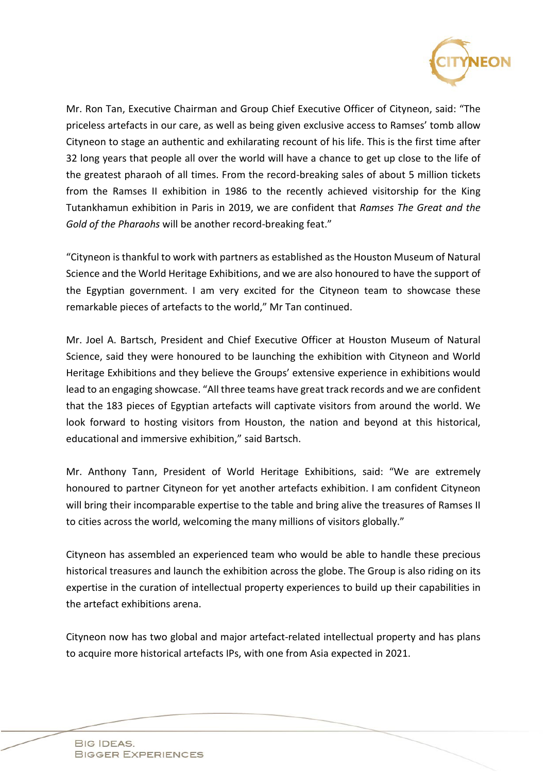

Mr. Ron Tan, Executive Chairman and Group Chief Executive Officer of Cityneon, said: "The priceless artefacts in our care, as well as being given exclusive access to Ramses' tomb allow Cityneon to stage an authentic and exhilarating recount of his life. This is the first time after 32 long years that people all over the world will have a chance to get up close to the life of the greatest pharaoh of all times. From the record-breaking sales of about 5 million tickets from the Ramses II exhibition in 1986 to the recently achieved visitorship for the King Tutankhamun exhibition in Paris in 2019, we are confident that *Ramses The Great and the Gold of the Pharaohs* will be another record-breaking feat."

"Cityneon is thankful to work with partners as established as the Houston Museum of Natural Science and the World Heritage Exhibitions, and we are also honoured to have the support of the Egyptian government. I am very excited for the Cityneon team to showcase these remarkable pieces of artefacts to the world," Mr Tan continued.

Mr. Joel A. Bartsch, President and Chief Executive Officer at Houston Museum of Natural Science, said they were honoured to be launching the exhibition with Cityneon and World Heritage Exhibitions and they believe the Groups' extensive experience in exhibitions would lead to an engaging showcase. "All three teams have great track records and we are confident that the 183 pieces of Egyptian artefacts will captivate visitors from around the world. We look forward to hosting visitors from Houston, the nation and beyond at this historical, educational and immersive exhibition," said Bartsch.

Mr. Anthony Tann, President of World Heritage Exhibitions, said: "We are extremely honoured to partner Cityneon for yet another artefacts exhibition. I am confident Cityneon will bring their incomparable expertise to the table and bring alive the treasures of Ramses II to cities across the world, welcoming the many millions of visitors globally."

Cityneon has assembled an experienced team who would be able to handle these precious historical treasures and launch the exhibition across the globe. The Group is also riding on its expertise in the curation of intellectual property experiences to build up their capabilities in the artefact exhibitions arena.

Cityneon now has two global and major artefact-related intellectual property and has plans to acquire more historical artefacts IPs, with one from Asia expected in 2021.